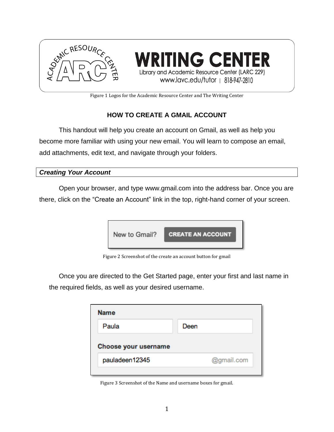

Figure 1 Logos for the Academic Resource Center and The Writing Center

## **HOW TO CREATE A GMAIL ACCOUNT**

This handout will help you create an account on Gmail, as well as help you become more familiar with using your new email. You will learn to compose an email, add attachments, edit text, and navigate through your folders.

## *Creating Your Account*

Open your browser, and type www.gmail.com into the address bar. Once you are there, click on the "Create an Account" link in the top, right-hand corner of your screen.



Figure 2 Screenshot of the create an account button for gmail

Once you are directed to the Get Started page, enter your first and last name in the required fields, as well as your desired username.

| <b>Name</b>          |            |
|----------------------|------------|
| Paula                | Deen       |
| Choose your username |            |
| pauladeen12345       | @gmail.com |
|                      |            |

Figure 3 Screenshot of the Name and username boxes for gmail.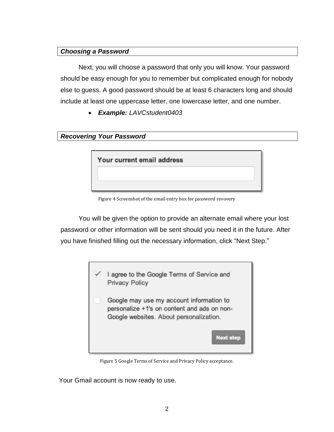## *Choosing a Password*

Next, you will choose a password that only you will know. Your password should be easy enough for you to remember but complicated enough for nobody else to guess. A good password should be at least 6 characters long and should include at least one uppercase letter, one lowercase letter, and one number.

*Example: LAVCstudent0403*

| <b>Recovering Your Password</b> |  |  |
|---------------------------------|--|--|
|---------------------------------|--|--|



Figure 4 Screenshot of the email entry box for password revovery

You will be given the option to provide an alternate email where your lost password or other information will be sent should you need it in the future. After you have finished filling out the necessary information, click "Next Step."



Figure 5 Google Terms of Service and Privacy Policy acceptance.

Your Gmail account is now ready to use.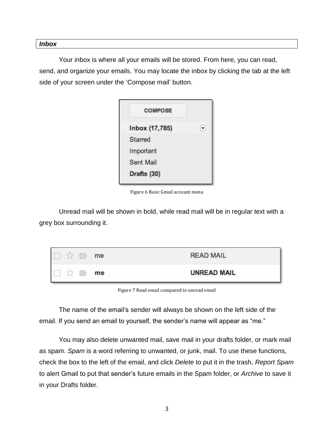#### *Inbox*

Your inbox is where all your emails will be stored. From here, you can read, send, and organize your emails. You may locate the inbox by clicking the tab at the left side of your screen under the 'Compose mail' button.



Figure 6 Basic Gmail account menu

Unread mail will be shown in bold, while read mail will be in regular text with a grey box surrounding it.

| me<br>M  | <b>READ MAIL</b>   |
|----------|--------------------|
| me<br>Ъă | <b>UNREAD MAIL</b> |

Figure 7 Read email compared to unread email

The name of the email's sender will always be shown on the left side of the email. If you send an email to yourself, the sender's name will appear as "me."

You may also delete unwanted mail, save mail in your drafts folder, or mark mail as spam. *Spam* is a word referring to unwanted, or junk, mail. To use these functions, check the box to the left of the email, and click *Delete* to put it in the trash, *Report Spam* to alert Gmail to put that sender's future emails in the Spam folder, or *Archive* to save it in your Drafts folder.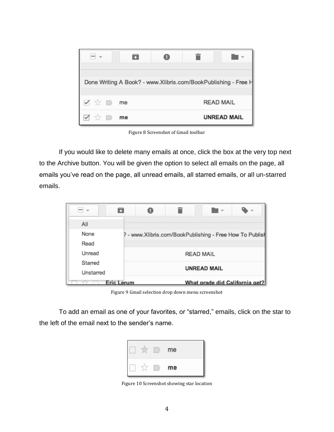|       |    |  | Done Writing A Book? - www.Xlibris.com/BookPublishing - Free H |
|-------|----|--|----------------------------------------------------------------|
| I ☆ D | me |  | <b>READ MAIL</b>                                               |
|       | me |  | <b>UNREAD MAIL</b>                                             |

Figure 8 Screenshot of Gmail toolbar

If you would like to delete many emails at once, click the box at the very top next to the Archive button. You will be given the option to select all emails on the page, all emails you've read on the page, all unread emails, all starred emails, or all un-starred emails.

| All       |            |                                                          |                                |
|-----------|------------|----------------------------------------------------------|--------------------------------|
| None      |            | ? - www.Xlibris.com/BookPublishing - Free How To Publish |                                |
| Read      |            |                                                          |                                |
| Unread    |            | <b>READ MAIL</b>                                         |                                |
| Starred   |            |                                                          |                                |
| Unstarred |            | <b>UNREAD MAIL</b>                                       |                                |
|           | Eric Lerum |                                                          | What grade did California get? |

Figure 9 Gmail selection drop down menu screenshot

To add an email as one of your favorites, or "starred," emails, click on the star to the left of the email next to the sender's name.



Figure 10 Screenshot showing star location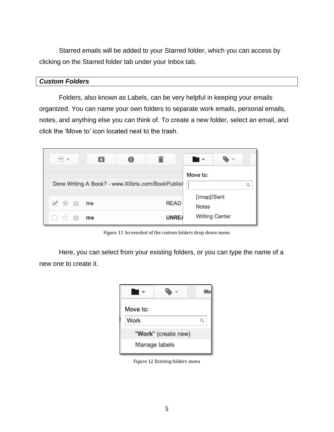Starred emails will be added to your Starred folder, which you can access by clicking on the Starred folder tab under your Inbox tab.

#### *Custom Folders*

Folders, also known as Labels, can be very helpful in keeping your emails organized. You can name your own folders to separate work emails, personal emails, notes, and anything else you can think of. To create a new folder, select an email, and click the 'Move to' icon located next to the trash.



Figure 11 Screenshot of the custom folders drop down menu

Here, you can select from your existing folders, or you can type the name of a new one to create it.

| Move to: |                     |  |
|----------|---------------------|--|
| Work     |                     |  |
|          | "Work" (create new) |  |
|          | Manage labels       |  |

Figure 12 Existing folders menu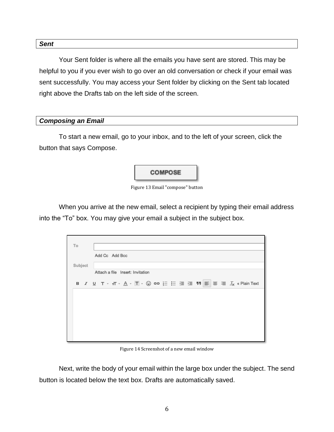#### *Sent*

Your Sent folder is where all the emails you have sent are stored. This may be helpful to you if you ever wish to go over an old conversation or check if your email was sent successfully. You may access your Sent folder by clicking on the Sent tab located right above the Drafts tab on the left side of the screen.

#### *Composing an Email*

To start a new email, go to your inbox, and to the left of your screen, click the button that says Compose.

# **COMPOSE**

Figure 13 Email "compose" button

When you arrive at the new email, select a recipient by typing their email address into the "To" box. You may give your email a subject in the subject box.

| To      |                                                                                                                                                              |
|---------|--------------------------------------------------------------------------------------------------------------------------------------------------------------|
|         | Add Cc Add Bcc                                                                                                                                               |
| Subject |                                                                                                                                                              |
|         | Attach a file Insert: Invitation                                                                                                                             |
|         | B <i>I</i> <u>U</u> T <sub>*</sub> <del>i</del> T <sub>*</sub> <u>A</u> <sub>*</sub> I ⋅ ☺ ⇔ 는 는 ⊆ ⊆ 男 <mark>≣</mark> ≣ ☰ <i>I</i> <sub>X</sub> « Plain Text |
|         |                                                                                                                                                              |
|         |                                                                                                                                                              |
|         |                                                                                                                                                              |
|         |                                                                                                                                                              |
|         |                                                                                                                                                              |
|         |                                                                                                                                                              |

Figure 14 Screenshot of a new email window

Next, write the body of your email within the large box under the subject. The send button is located below the text box. Drafts are automatically saved.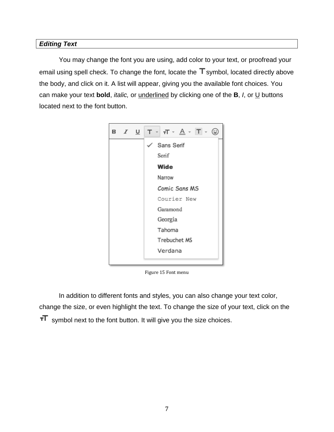## *Editing Text*

You may change the font you are using, add color to your text, or proofread your email using spell check. To change the font, locate the  $T$  symbol, located directly above the body, and click on it. A list will appear, giving you the available font choices. You can make your text **bold**, *italic,* or underlined by clicking one of the **B**, *I*, or U buttons located next to the font button.



Figure 15 Font menu

In addition to different fonts and styles, you can also change your text color, change the size, or even highlight the text. To change the size of your text, click on the  $T$  symbol next to the font button. It will give you the size choices.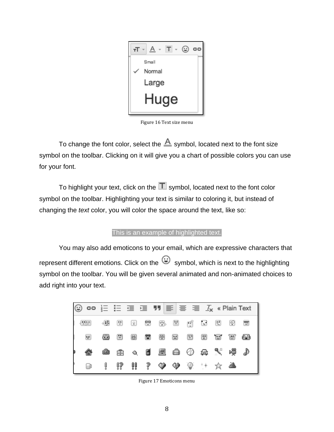

Figure 16 Text size menu

To change the font color, select the  $\triangle$  symbol, located next to the font size symbol on the toolbar. Clicking on it will give you a chart of possible colors you can use for your font.

To highlight your text, click on the  $\Box$  symbol, located next to the font color symbol on the toolbar. Highlighting your text is similar to coloring it, but instead of changing the *text* color, you will color the space around the text, like so:

#### This is an example of highlighted text.

You may also add emoticons to your email, which are expressive characters that represent different emotions. Click on the  $\bigoplus$  symbol, which is next to the highlighting symbol on the toolbar. You will be given several animated and non-animated choices to add right into your text.



Figure 17 Emoticons menu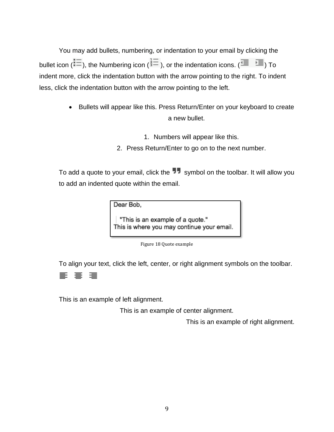You may add bullets, numbering, or indentation to your email by clicking the bullet icon ( $\equiv$ ), the Numbering icon ( $\frac{1}{2}$ ), or the indentation icons. ( $\equiv$   $\equiv$   $\equiv$ ) To indent more, click the indentation button with the arrow pointing to the right. To indent less, click the indentation button with the arrow pointing to the left.

- Bullets will appear like this. Press Return/Enter on your keyboard to create a new bullet.
	- 1. Numbers will appear like this.
	- 2. Press Return/Enter to go on to the next number.

To add a quote to your email, click the  $\blacksquare$  symbol on the toolbar. It will allow you to add an indented quote within the email.

Dear Bob,

"This is an example of a quote." This is where you may continue your email.

Figure 18 Quote example

To align your text, click the left, center, or right alignment symbols on the toolbar.

#### 亖 亖 僵

This is an example of left alignment.

This is an example of center alignment.

This is an example of right alignment.